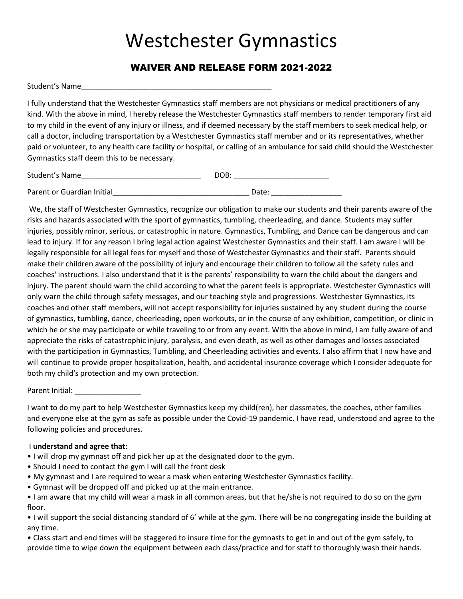## Westchester Gymnastics

## WAIVER AND RELEASE FORM 2021-2022

## Student's Name\_\_\_\_\_\_\_\_\_\_\_\_\_\_\_\_\_\_\_\_\_\_\_\_\_\_\_\_\_\_\_\_\_\_\_\_\_\_\_\_\_\_\_\_\_\_

I fully understand that the Westchester Gymnastics staff members are not physicians or medical practitioners of any kind. With the above in mind, I hereby release the Westchester Gymnastics staff members to render temporary first aid to my child in the event of any injury or illness, and if deemed necessary by the staff members to seek medical help, or call a doctor, including transportation by a Westchester Gymnastics staff member and or its representatives, whether paid or volunteer, to any health care facility or hospital, or calling of an ambulance for said child should the Westchester Gymnastics staff deem this to be necessary.

| Student's Name                    | DOB:  |
|-----------------------------------|-------|
| <b>Parent or Guardian Initial</b> | Date: |

We, the staff of Westchester Gymnastics, recognize our obligation to make our students and their parents aware of the risks and hazards associated with the sport of gymnastics, tumbling, cheerleading, and dance. Students may suffer injuries, possibly minor, serious, or catastrophic in nature. Gymnastics, Tumbling, and Dance can be dangerous and can lead to injury. If for any reason I bring legal action against Westchester Gymnastics and their staff. I am aware I will be legally responsible for all legal fees for myself and those of Westchester Gymnastics and their staff. Parents should make their children aware of the possibility of injury and encourage their children to follow all the safety rules and coaches' instructions. I also understand that it is the parents' responsibility to warn the child about the dangers and injury. The parent should warn the child according to what the parent feels is appropriate. Westchester Gymnastics will only warn the child through safety messages, and our teaching style and progressions. Westchester Gymnastics, its coaches and other staff members, will not accept responsibility for injuries sustained by any student during the course of gymnastics, tumbling, dance, cheerleading, open workouts, or in the course of any exhibition, competition, or clinic in which he or she may participate or while traveling to or from any event. With the above in mind, I am fully aware of and appreciate the risks of catastrophic injury, paralysis, and even death, as well as other damages and losses associated with the participation in Gymnastics, Tumbling, and Cheerleading activities and events. I also affirm that I now have and will continue to provide proper hospitalization, health, and accidental insurance coverage which I consider adequate for both my child's protection and my own protection.

Parent Initial:

I want to do my part to help Westchester Gymnastics keep my child(ren), her classmates, the coaches, other families and everyone else at the gym as safe as possible under the Covid-19 pandemic. I have read, understood and agree to the following policies and procedures.

## I **understand and agree that:**

- I will drop my gymnast off and pick her up at the designated door to the gym.
- Should I need to contact the gym I will call the front desk
- My gymnast and I are required to wear a mask when entering Westchester Gymnastics facility.
- Gymnast will be dropped off and picked up at the main entrance.

• I am aware that my child will wear a mask in all common areas, but that he/she is not required to do so on the gym floor.

• I will support the social distancing standard of 6' while at the gym. There will be no congregating inside the building at any time.

• Class start and end times will be staggered to insure time for the gymnasts to get in and out of the gym safely, to provide time to wipe down the equipment between each class/practice and for staff to thoroughly wash their hands.